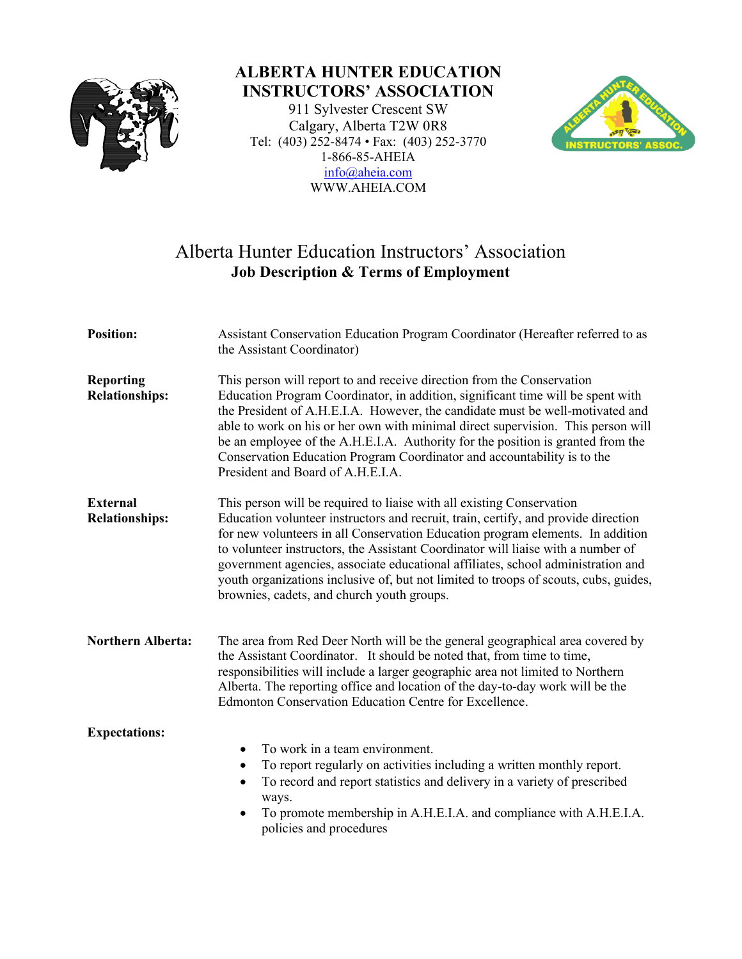

## **ALBERTA HUNTER EDUCATION INSTRUCTORS' ASSOCIATION**

911 Sylvester Crescent SW Calgary, Alberta T2W 0R8 Tel: (403) 252-8474 • Fax: (403) 252-3770 1-866-85-AHEIA [info@aheia.com](mailto:info@aheia.com) WWW.AHEIA.COM



## Alberta Hunter Education Instructors' Association **Job Description & Terms of Employment**

| <b>Position:</b>                          | Assistant Conservation Education Program Coordinator (Hereafter referred to as<br>the Assistant Coordinator)                                                                                                                                                                                                                                                                                                                                                                                                                                                |  |  |
|-------------------------------------------|-------------------------------------------------------------------------------------------------------------------------------------------------------------------------------------------------------------------------------------------------------------------------------------------------------------------------------------------------------------------------------------------------------------------------------------------------------------------------------------------------------------------------------------------------------------|--|--|
| <b>Reporting</b><br><b>Relationships:</b> | This person will report to and receive direction from the Conservation<br>Education Program Coordinator, in addition, significant time will be spent with<br>the President of A.H.E.I.A. However, the candidate must be well-motivated and<br>able to work on his or her own with minimal direct supervision. This person will<br>be an employee of the A.H.E.I.A. Authority for the position is granted from the<br>Conservation Education Program Coordinator and accountability is to the<br>President and Board of A.H.E.I.A.                           |  |  |
| <b>External</b><br><b>Relationships:</b>  | This person will be required to liaise with all existing Conservation<br>Education volunteer instructors and recruit, train, certify, and provide direction<br>for new volunteers in all Conservation Education program elements. In addition<br>to volunteer instructors, the Assistant Coordinator will liaise with a number of<br>government agencies, associate educational affiliates, school administration and<br>youth organizations inclusive of, but not limited to troops of scouts, cubs, guides,<br>brownies, cadets, and church youth groups. |  |  |
| <b>Northern Alberta:</b>                  | The area from Red Deer North will be the general geographical area covered by<br>the Assistant Coordinator. It should be noted that, from time to time,<br>responsibilities will include a larger geographic area not limited to Northern<br>Alberta. The reporting office and location of the day-to-day work will be the<br>Edmonton Conservation Education Centre for Excellence.                                                                                                                                                                        |  |  |
| <b>Expectations:</b>                      | To work in a team environment.<br>$\bullet$<br>To report regularly on activities including a written monthly report.<br>٠<br>To record and report statistics and delivery in a variety of prescribed<br>$\bullet$<br>ways.<br>To promote membership in A.H.E.I.A. and compliance with A.H.E.I.A.<br>$\bullet$<br>policies and procedures                                                                                                                                                                                                                    |  |  |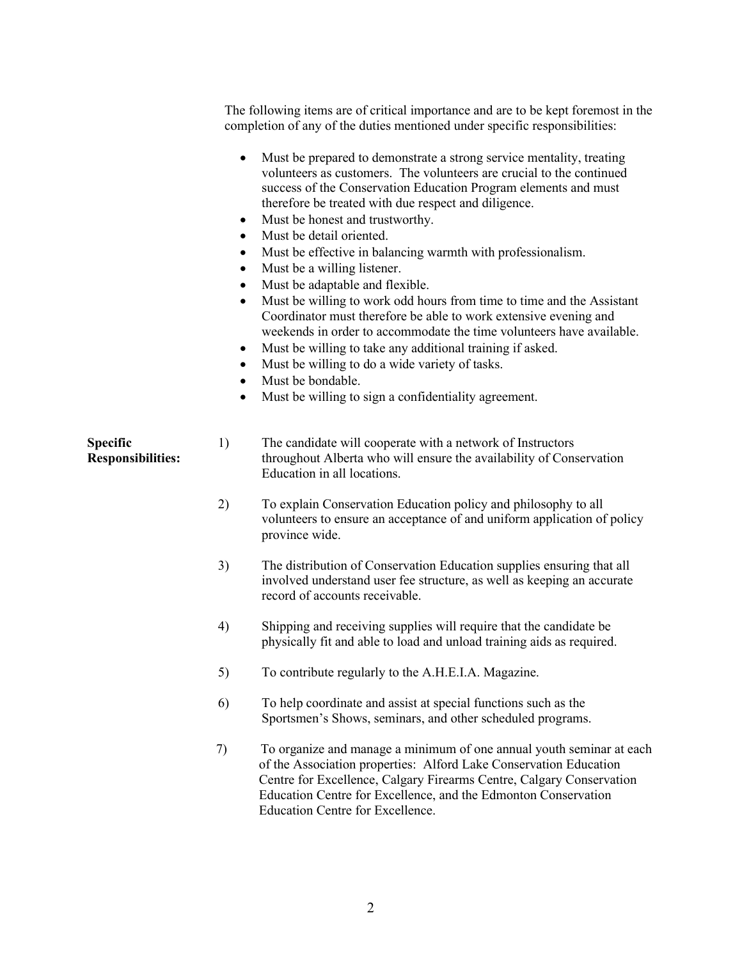The following items are of critical importance and are to be kept foremost in the completion of any of the duties mentioned under specific responsibilities:

|                                      | $\bullet$<br>$\bullet$<br>$\bullet$<br>$\bullet$<br>٠<br>$\bullet$<br>$\bullet$<br>٠<br>$\bullet$<br>$\bullet$ | Must be prepared to demonstrate a strong service mentality, treating<br>volunteers as customers. The volunteers are crucial to the continued<br>success of the Conservation Education Program elements and must<br>therefore be treated with due respect and diligence.<br>Must be honest and trustworthy.<br>Must be detail oriented.<br>Must be effective in balancing warmth with professionalism.<br>Must be a willing listener.<br>Must be adaptable and flexible.<br>Must be willing to work odd hours from time to time and the Assistant<br>Coordinator must therefore be able to work extensive evening and<br>weekends in order to accommodate the time volunteers have available.<br>Must be willing to take any additional training if asked.<br>Must be willing to do a wide variety of tasks.<br>Must be bondable.<br>Must be willing to sign a confidentiality agreement. |
|--------------------------------------|----------------------------------------------------------------------------------------------------------------|------------------------------------------------------------------------------------------------------------------------------------------------------------------------------------------------------------------------------------------------------------------------------------------------------------------------------------------------------------------------------------------------------------------------------------------------------------------------------------------------------------------------------------------------------------------------------------------------------------------------------------------------------------------------------------------------------------------------------------------------------------------------------------------------------------------------------------------------------------------------------------------|
| Specific<br><b>Responsibilities:</b> | 1)                                                                                                             | The candidate will cooperate with a network of Instructors<br>throughout Alberta who will ensure the availability of Conservation<br>Education in all locations.                                                                                                                                                                                                                                                                                                                                                                                                                                                                                                                                                                                                                                                                                                                         |
|                                      | 2)                                                                                                             | To explain Conservation Education policy and philosophy to all<br>volunteers to ensure an acceptance of and uniform application of policy<br>province wide.                                                                                                                                                                                                                                                                                                                                                                                                                                                                                                                                                                                                                                                                                                                              |
|                                      | 3)                                                                                                             | The distribution of Conservation Education supplies ensuring that all<br>involved understand user fee structure, as well as keeping an accurate<br>record of accounts receivable.                                                                                                                                                                                                                                                                                                                                                                                                                                                                                                                                                                                                                                                                                                        |
|                                      | 4)                                                                                                             | Shipping and receiving supplies will require that the candidate be<br>physically fit and able to load and unload training aids as required.                                                                                                                                                                                                                                                                                                                                                                                                                                                                                                                                                                                                                                                                                                                                              |
|                                      | 5)                                                                                                             | To contribute regularly to the A.H.E.I.A. Magazine.                                                                                                                                                                                                                                                                                                                                                                                                                                                                                                                                                                                                                                                                                                                                                                                                                                      |
|                                      | 6)                                                                                                             | To help coordinate and assist at special functions such as the<br>Sportsmen's Shows, seminars, and other scheduled programs.                                                                                                                                                                                                                                                                                                                                                                                                                                                                                                                                                                                                                                                                                                                                                             |
|                                      | 7)                                                                                                             | To organize and manage a minimum of one annual youth seminar at each<br>of the Association properties: Alford Lake Conservation Education<br>Centre for Excellence, Calgary Firearms Centre, Calgary Conservation<br>Education Centre for Excellence, and the Edmonton Conservation<br>Education Centre for Excellence.                                                                                                                                                                                                                                                                                                                                                                                                                                                                                                                                                                  |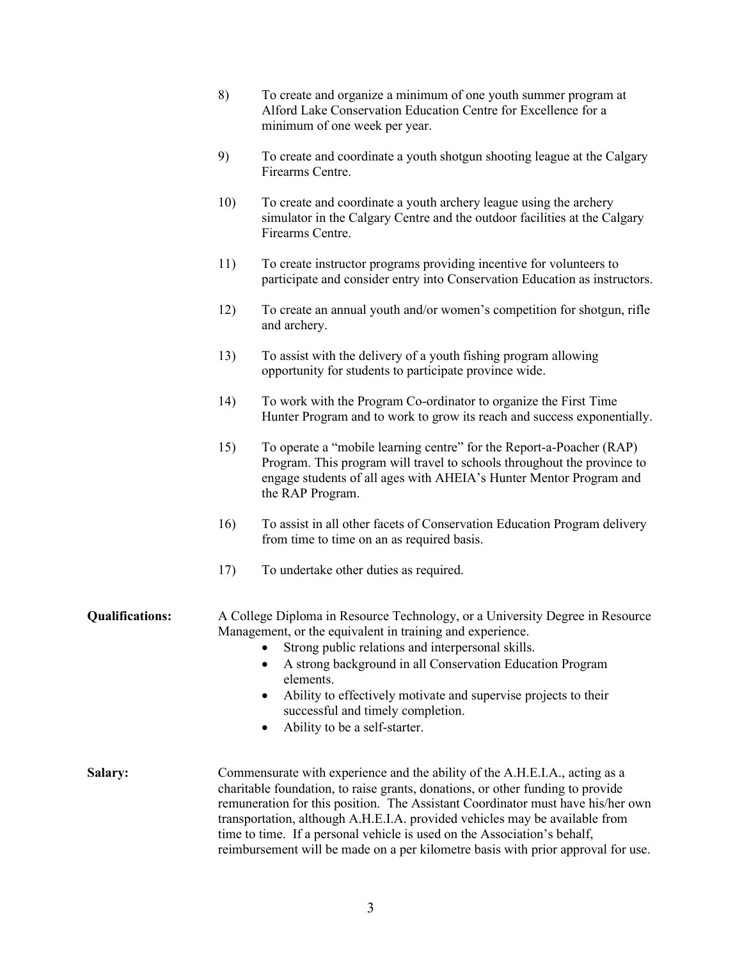- 8) To create and organize a minimum of one youth summer program at Alford Lake Conservation Education Centre for Excellence for a minimum of one week per year.
- 9) To create and coordinate a youth shotgun shooting league at the Calgary Firearms Centre.
- 10) To create and coordinate a youth archery league using the archery simulator in the Calgary Centre and the outdoor facilities at the Calgary Firearms Centre.
- 11) To create instructor programs providing incentive for volunteers to participate and consider entry into Conservation Education as instructors.
- 12) To create an annual youth and/or women's competition for shotgun, rifle and archery.
- 13) To assist with the delivery of a youth fishing program allowing opportunity for students to participate province wide.
- 14) To work with the Program Co-ordinator to organize the First Time Hunter Program and to work to grow its reach and success exponentially.
- 15) To operate a "mobile learning centre" for the Report-a-Poacher (RAP) Program. This program will travel to schools throughout the province to engage students of all ages with AHEIA's Hunter Mentor Program and the RAP Program.
- 16) To assist in all other facets of Conservation Education Program delivery from time to time on an as required basis.
- 17) To undertake other duties as required.

**Qualifications:** A College Diploma in Resource Technology, or a University Degree in Resource Management, or the equivalent in training and experience.

- Strong public relations and interpersonal skills.
- A strong background in all Conservation Education Program elements.
- Ability to effectively motivate and supervise projects to their successful and timely completion.
- Ability to be a self-starter.
- **Salary:** Commensurate with experience and the ability of the A.H.E.I.A., acting as a charitable foundation, to raise grants, donations, or other funding to provide remuneration for this position. The Assistant Coordinator must have his/her own transportation, although A.H.E.I.A. provided vehicles may be available from time to time. If a personal vehicle is used on the Association's behalf, reimbursement will be made on a per kilometre basis with prior approval for use.